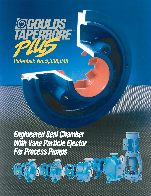

*Engineered Seal Chamber With Vane Particle Ejector For Process Pumps*

de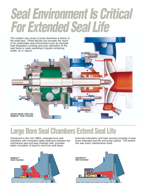# *Seal Environment Is Critical For Extended Seal Life*



### **Large Bore Seal Chambers Extend Seal Life**

Introduced in the mid-1980's, enlarged bore seal chambers with increased radial clearance between the mechanical seal and seal chamber wall, provided better circulation of liquid to and from seal faces.



Improved lubrication and heat removal (cooling) of seal faces extended seal life and pump uptime. The bottom line was lower maintenance costs.

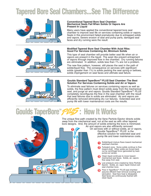# **Tapered Bore Seal Chambers...See The Difference**



#### **Conventional Tapered Bore Seal Chamber: Mechanical Seals Fail When Solids Or Vapors Are Present In Liquid**

Many users have applied the conventional tapered bore seal chamber to improve seal life on services containing solids or vapors. Seals in this environment failed prematurely due to entrapped solids and vapors. Severe erosion of seal and pump parts, damaged seal faces and dry running were the result.



#### **Modified Tapered Bore Seal Chamber With Axial Ribs: Good For Services Containing Air, Minimum Solids**

This type of seal chamber will provide better seal life when air or vapors are present in the liquid. The axial ribs prevent entrapment of vapors through improved flow in the chamber. Dry running failures are eliminated. In addition, solids less than 1% are not a problem.

The new flow pattern, however, still places the seal in the path of solids/liquid flow. The consequence on services with significant solids (greater than 1%) is solids packing the seal spring or bellows, solids impingement on seal faces and ultimate seal failure.



**5 3**

#### Goulds Standard TaperBore<sup>™</sup> PLUS Seal Chamber: The Best **Solution For Services Containing Solids and Air or Vapors**

To eliminate seal failures on services containing vapors as well as solids, the flow pattern must direct solids away from the mechanical seal, and purge air and vapors. Goulds Standard TaperBore™ PLUS completely reconfigures the flow in the seal chamber with the result that seal failures due to solids are eliminated. Air and vapors are efficiently removed eliminating dry run failures. Extended seal and pump life with lower maintenance costs are the results.

# **Goulds TaperBore™ PUS: How It Works**

**1**

**2**

**4**

The unique flow path created by the Vane Particle Ejector directs solids away from the mechanical seal, not at the seal as with other tapered bore designs. And, the amount of solids entering the bore is minimized.

Air and vapors are also efficiently removed. On services with or without solids, air or vapors, Goulds TaperBore<sup> $M$ </sup> PLUS is the effective solution for extended seal and pump life and lower maintenance costs.

- Solids/liquid mixture flows toward mechanical seal/seal chamber. **1**
- Turbulent zone. Some solids continue to flow toward shaft. Other solids are forced back out by centrifugal force (generated by back pump-out vanes). **2**
- Clean liquid continues to move toward mechanical seal faces. Solids, air, vapors flow away from seal. **3**
- Low pressure zone created by Vane Particle Ejector. Solids, air, vapor liquid mixture exit seal chamber bore. **4**
- Flow in TaperBore™ PLUS seal chamber assures efficient heat removal (cooling) and lubrication. Seal face heat is dissipated. Seal faces are continuously flushed with clean liquid. **5**